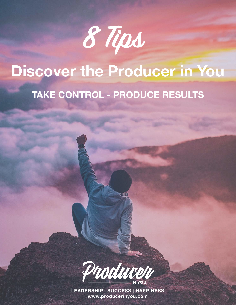

# **Discover the Producer in You**

# **TAKE CONTROL - PRODUCE RESULTS**



**LEADERSHIP | SUCCESS | HAPPINESS www.producerinyou.com**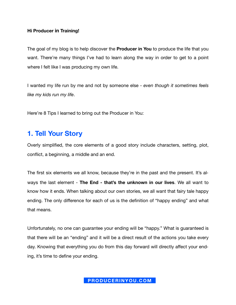#### **Hi Producer in Training!**

The goal of my blog is to help discover the **Producer in You** to produce the life that you want. There're many things I've had to learn along the way in order to get to a point where I felt like I was producing my own life.

I wanted my life run by me and not by someone else - *even though it sometimes feels like my kids run my life*.

Here're 8 Tips I learned to bring out the Producer in You:

#### **1. Tell Your Story**

Overly simplified, the core elements of a good story include characters, setting, plot, conflict, a beginning, a middle and an end.

The first six elements we all know, because they're in the past and the present. It's always the last element - **The End - that's the unknown in our lives**. We all want to know how it ends. When talking about our own stories, we all want that fairy tale happy ending. The only difference for each of us is the definition of "happy ending" and what that means.

Unfortunately, no one can guarantee your ending will be "happy." What is guaranteed is that there will be an "ending" and it will be a direct result of the actions you take every day. Knowing that everything you do from this day forward will directly affect your ending, it's time to define your ending.

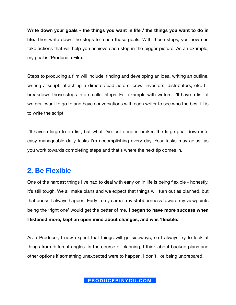**Write down your goals - the things you want in life / the things you want to do in life.** Then write down the steps to reach those goals. With those steps, you now can take actions that will help you achieve each step in the bigger picture. As an example, my goal is 'Produce a Film.'

Steps to producing a film will include, finding and developing an idea, writing an outline, writing a script, attaching a director/lead actors, crew, investors, distributors, etc. I'll breakdown those steps into smaller steps. For example with writers, I'll have a list of writers I want to go to and have conversations with each writer to see who the best fit is to write the script.

I'll have a large to-do list, but what I've just done is broken the large goal down into easy manageable daily tasks I'm accomplishing every day. Your tasks may adjust as you work towards completing steps and that's where the next tip comes in.

#### **2. Be Flexible**

One of the hardest things I've had to deal with early on in life is being flexible - honestly, it's still tough. We all make plans and we expect that things will turn out as planned, but that doesn't always happen. Early in my career, my stubbornness toward my viewpoints being the 'right one' would get the better of me. **I began to have more success when I listened more, kept an open mind about changes, and was 'flexible.'**

As a Producer, I now expect that things will go sideways, so I always try to look at things from different angles. In the course of planning, I think about backup plans and other options if something unexpected were to happen. I don't like being unprepared.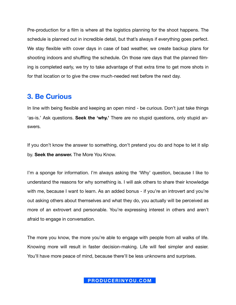Pre-production for a film is where all the logistics planning for the shoot happens. The schedule is planned out in incredible detail, but that's always if everything goes perfect. We stay flexible with cover days in case of bad weather, we create backup plans for shooting indoors and shuffling the schedule. On those rare days that the planned filming is completed early, we try to take advantage of that extra time to get more shots in for that location or to give the crew much-needed rest before the next day.

#### **3. Be Curious**

In line with being flexible and keeping an open mind - be curious. Don't just take things 'as-is.' Ask questions. **Seek the 'why.'** There are no stupid questions, only stupid answers.

If you don't know the answer to something, don't pretend you do and hope to let it slip by. **Seek the answer.** The More You Know.

I'm a sponge for information. I'm always asking the 'Why' question, because I like to understand the reasons for why something is. I will ask others to share their knowledge with me, because I want to learn. As an added bonus - if you're an introvert and you're out asking others about themselves and what they do, you actually will be perceived as more of an extrovert and personable. You're expressing interest in others and aren't afraid to engage in conversation.

The more you know, the more you're able to engage with people from all walks of life. Knowing more will result in faster decision-making. Life will feel simpler and easier. You'll have more peace of mind, because there'll be less unknowns and surprises.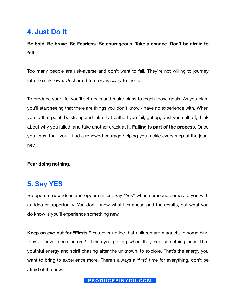## **4. Just Do It**

**Be bold. Be brave. Be Fearless. Be courageous. Take a chance. Don't be afraid to fail.**

Too many people are risk-averse and don't want to fail. They're not willing to journey into the unknown. Uncharted territory is scary to them.

To produce your life, you'll set goals and make plans to reach those goals. As you plan, you'll start seeing that there are things you don't know / have no experience with. When you to that point, be strong and take that path. If you fail, get up, dust yourself off, think about why you failed, and take another crack at it. **Failing is part of the process.** Once you know that, you'll find a renewed courage helping you tackle every step of the journey.

**Fear doing nothing.** 

### **5. Say YES**

Be open to new ideas and opportunities. Say "Yes" when someone comes to you with an idea or opportunity. You don't know what lies ahead and the results, but what you do know is you'll experience something new.

**Keep an eye out for "Firsts."** You ever notice that children are magnets to something they've never seen before? Their eyes go big when they see something new. That youthful energy and spirit chasing after the unknown, to explore. That's the energy you want to bring to experience more. There's always a 'first' time for everything, don't be afraid of the new.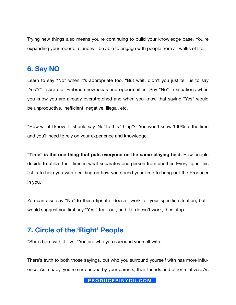Trying new things also means you're continuing to build your knowledge base. You're expanding your repertoire and will be able to engage with people from all walks of life.

#### **6. Say NO**

Learn to say "No" when it's appropriate too. "But wait, didn't you just tell us to say 'Yes'?" I sure did. Embrace new ideas and opportunities. Say "No" in situations when you know you are already overstretched and when you know that saying "Yes" would be unproductive, inefficient, negative, illegal, etc.

"How will if I know if I should say 'No' to this 'thing'?" You won't know 100% of the time and you'll need to rely on your experience and knowledge.

**"Time" is the one thing that puts everyone on the same playing field.** How people decide to utilize their time is what separates one person from another. Every tip in this list is to help you with deciding on how you spend your time to bring out the Producer in you.

You can also say "No" to these tips if it doesn't work for your specific situation, but I would suggest you first say "Yes," try it out, and if it doesn't work, then stop.

#### **7. Circle of the 'Right' People**

"She's born with it." vs. "You are who you surround yourself with."

There's truth to both those sayings, but who you surround yourself with has more influence. As a baby, you're surrounded by your parents, their friends and other relatives. As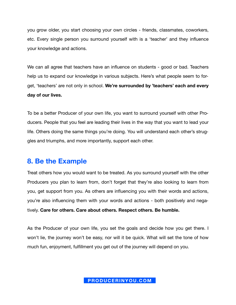you grow older, you start choosing your own circles - friends, classmates, coworkers, etc. Every single person you surround yourself with is a 'teacher' and they influence your knowledge and actions.

We can all agree that teachers have an influence on students - good or bad. Teachers help us to expand our knowledge in various subjects. Here's what people seem to forget, 'teachers' are not only in school. **We're surrounded by 'teachers' each and every day of our lives.** 

To be a better Producer of your own life, you want to surround yourself with other Producers. People that you feel are leading their lives in the way that you want to lead your life. Others doing the same things you're doing. You will understand each other's struggles and triumphs, and more importantly, support each other.

#### **8. Be the Example**

Treat others how you would want to be treated. As you surround yourself with the other Producers you plan to learn from, don't forget that they're also looking to learn from you, get support from you. As others are influencing you with their words and actions, you're also influencing them with your words and actions - both positively and negatively. **Care for others. Care about others. Respect others. Be humble.**

As the Producer of your own life, you set the goals and decide how you get there. I won't lie, the journey won't be easy, nor will it be quick. What will set the tone of how much fun, enjoyment, fulfillment you get out of the journey will depend on you.

#### **PRODUCERINYOU.COM**